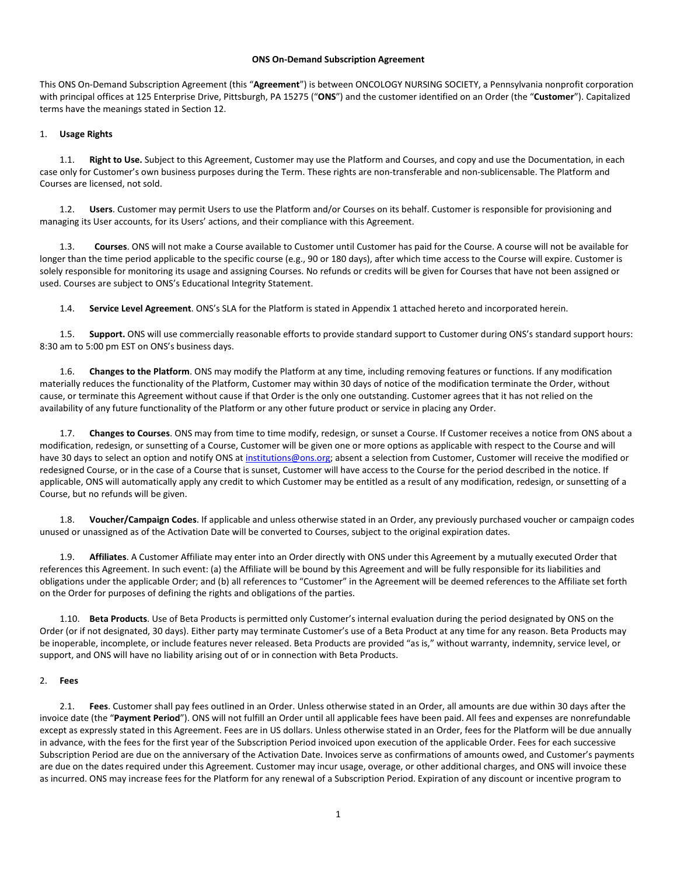#### **ONS On-Demand Subscription Agreement**

This ONS On-Demand Subscription Agreement (this "**Agreement**") is between ONCOLOGY NURSING SOCIETY, a Pennsylvania nonprofit corporation with principal offices at 125 Enterprise Drive, Pittsburgh, PA 15275 ("**ONS**") and the customer identified on an Order (the "**Customer**"). Capitalized terms have the meanings stated in Sectio[n 12.](#page-6-0)

### 1. **Usage Rights**

Right to Use. Subject to this Agreement, Customer may use the Platform and Courses, and copy and use the Documentation, in each case only for Customer's own business purposes during the Term. These rights are non-transferable and non-sublicensable. The Platform and Courses are licensed, not sold.

1.2. **Users**. Customer may permit Users to use the Platform and/or Courses on its behalf. Customer is responsible for provisioning and managing its User accounts, for its Users' actions, and their compliance with this Agreement.

1.3. **Courses**. ONS will not make a Course available to Customer until Customer has paid for the Course. A course will not be available for longer than the time period applicable to the specific course (e.g., 90 or 180 days), after which time access to the Course will expire. Customer is solely responsible for monitoring its usage and assigning Courses. No refunds or credits will be given for Courses that have not been assigned or used. Courses are subject to ONS's Educational Integrity Statement.

1.4. **Service Level Agreement**. ONS's SLA for the Platform is stated in Appendix 1 attached hereto and incorporated herein.

1.5. **Support.** ONS will use commercially reasonable efforts to provide standard support to Customer during ONS's standard support hours: 8:30 am to 5:00 pm EST on ONS's business days.

1.6. **Changes to the Platform**. ONS may modify the Platform at any time, including removing features or functions. If any modification materially reduces the functionality of the Platform, Customer may within 30 days of notice of the modification terminate the Order, without cause, or terminate this Agreement without cause if that Order is the only one outstanding. Customer agrees that it has not relied on the availability of any future functionality of the Platform or any other future product or service in placing any Order.

1.7. **Changes to Courses**. ONS may from time to time modify, redesign, or sunset a Course. If Customer receives a notice from ONS about a modification, redesign, or sunsetting of a Course, Customer will be given one or more options as applicable with respect to the Course and will have 30 days to select an option and notify ONS a[t institutions@ons.org;](mailto:institutions@ons.org) absent a selection from Customer, Customer will receive the modified or redesigned Course, or in the case of a Course that is sunset, Customer will have access to the Course for the period described in the notice. If applicable, ONS will automatically apply any credit to which Customer may be entitled as a result of any modification, redesign, or sunsetting of a Course, but no refunds will be given.

1.8. **Voucher/Campaign Codes**. If applicable and unless otherwise stated in an Order, any previously purchased voucher or campaign codes unused or unassigned as of the Activation Date will be converted to Courses, subject to the original expiration dates.

1.9. **Affiliates**. A Customer Affiliate may enter into an Order directly with ONS under this Agreement by a mutually executed Order that references this Agreement. In such event: (a) the Affiliate will be bound by this Agreement and will be fully responsible for its liabilities and obligations under the applicable Order; and (b) all references to "Customer" in the Agreement will be deemed references to the Affiliate set forth on the Order for purposes of defining the rights and obligations of the parties.

1.10. **Beta Products**. Use of Beta Products is permitted only Customer's internal evaluation during the period designated by ONS on the Order (or if not designated, 30 days). Either party may terminate Customer's use of a Beta Product at any time for any reason. Beta Products may be inoperable, incomplete, or include features never released. Beta Products are provided "as is," without warranty, indemnity, service level, or support, and ONS will have no liability arising out of or in connection with Beta Products.

### <span id="page-0-0"></span>2. **Fees**

2.1. **Fees**. Customer shall pay fees outlined in an Order. Unless otherwise stated in an Order, all amounts are due within 30 days after the invoice date (the "**Payment Period**"). ONS will not fulfill an Order until all applicable fees have been paid. All fees and expenses are nonrefundable except as expressly stated in this Agreement. Fees are in US dollars. Unless otherwise stated in an Order, fees for the Platform will be due annually in advance, with the fees for the first year of the Subscription Period invoiced upon execution of the applicable Order. Fees for each successive Subscription Period are due on the anniversary of the Activation Date. Invoices serve as confirmations of amounts owed, and Customer's payments are due on the dates required under this Agreement. Customer may incur usage, overage, or other additional charges, and ONS will invoice these as incurred. ONS may increase fees for the Platform for any renewal of a Subscription Period. Expiration of any discount or incentive program to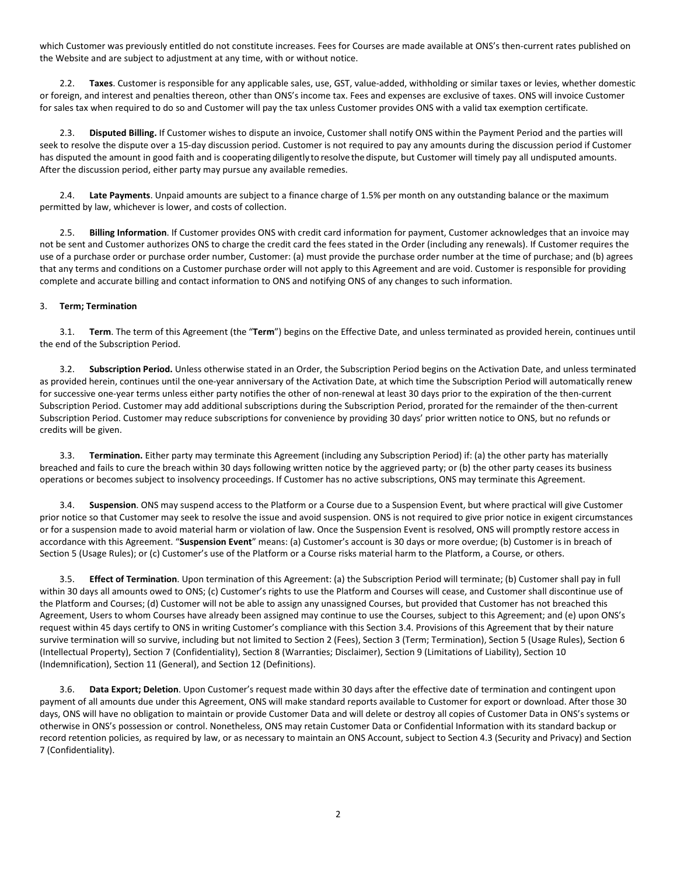which Customer was previously entitled do not constitute increases. Fees for Courses are made available at ONS's then-current rates published on the Website and are subject to adjustment at any time, with or without notice.

2.2. **Taxes**. Customer is responsible for any applicable sales, use, GST, value-added, withholding or similar taxes or levies, whether domestic or foreign, and interest and penalties thereon, other than ONS's income tax. Fees and expenses are exclusive of taxes. ONS will invoice Customer for sales tax when required to do so and Customer will pay the tax unless Customer provides ONS with a valid tax exemption certificate.

2.3. **Disputed Billing.** If Customer wishes to dispute an invoice, Customer shall notify ONS within the Payment Period and the parties will seek to resolve the dispute over a 15-day discussion period. Customer is not required to pay any amounts during the discussion period if Customer has disputed the amount in good faith and is cooperating diligently to resolve the dispute, but Customer will timely pay all undisputed amounts. After the discussion period, either party may pursue any available remedies.

2.4. **Late Payments**. Unpaid amounts are subject to a finance charge of 1.5% per month on any outstanding balance or the maximum permitted by law, whichever is lower, and costs of collection.

2.5. **Billing Information**. If Customer provides ONS with credit card information for payment, Customer acknowledges that an invoice may not be sent and Customer authorizes ONS to charge the credit card the fees stated in the Order (including any renewals). If Customer requires the use of a purchase order or purchase order number, Customer: (a) must provide the purchase order number at the time of purchase; and (b) agrees that any terms and conditions on a Customer purchase order will not apply to this Agreement and are void. Customer is responsible for providing complete and accurate billing and contact information to ONS and notifying ONS of any changes to such information.

## <span id="page-1-1"></span>3. **Term; Termination**

3.1. **Term**. The term of this Agreement (the "**Term**") begins on the Effective Date, and unless terminated as provided herein, continues until the end of the Subscription Period.

3.2. **Subscription Period.** Unless otherwise stated in an Order, the Subscription Period begins on the Activation Date, and unless terminated as provided herein, continues until the one-year anniversary of the Activation Date, at which time the Subscription Period will automatically renew for successive one-year terms unless either party notifies the other of non-renewal at least 30 days prior to the expiration of the then-current Subscription Period. Customer may add additional subscriptions during the Subscription Period, prorated for the remainder of the then-current Subscription Period. Customer may reduce subscriptions for convenience by providing 30 days' prior written notice to ONS, but no refunds or credits will be given.

3.3. **Termination.** Either party may terminate this Agreement (including any Subscription Period) if: (a) the other party has materially breached and fails to cure the breach within 30 days following written notice by the aggrieved party; or (b) the other party ceases its business operations or becomes subject to insolvency proceedings. If Customer has no active subscriptions, ONS may terminate this Agreement.

<span id="page-1-0"></span>3.4. **Suspension**. ONS may suspend access to the Platform or a Course due to a Suspension Event, but where practical will give Customer prior notice so that Customer may seek to resolve the issue and avoid suspension. ONS is not required to give prior notice in exigent circumstances or for a suspension made to avoid material harm or violation of law. Once the Suspension Event is resolved, ONS will promptly restore access in accordance with this Agreement. "**Suspension Event**" means: (a) Customer's account is 30 days or more overdue; (b) Customer is in breach of Section [5](#page-2-0) (Usage Rules); or (c) Customer's use of the Platform or a Course risks material harm to the Platform, a Course, or others.

3.5. **Effect of Termination**. Upon termination of this Agreement: (a) the Subscription Period will terminate; (b) Customer shall pay in full within 30 days all amounts owed to ONS; (c) Customer's rights to use the Platform and Courses will cease, and Customer shall discontinue use of the Platform and Courses; (d) Customer will not be able to assign any unassigned Courses, but provided that Customer has not breached this Agreement, Users to whom Courses have already been assigned may continue to use the Courses, subject to this Agreement; and (e) upon ONS's request within 45 days certify to ONS in writing Customer's compliance with this Sectio[n 3.4.](#page-1-0) Provisions of this Agreement that by their nature survive termination will so survive, including but not limited to Sectio[n 2](#page-0-0) (Fees), Sectio[n 3](#page-1-1) (Term; Termination), Sectio[n 5](#page-2-0) (Usage Rules), Sectio[n 6](#page-3-0) (Intellectual Property), Section [7](#page-3-1) (Confidentiality), Sectio[n 8](#page-3-2) (Warranties; Disclaimer), Sectio[n 9](#page-4-0) (Limitations of Liability), Section [10](#page-4-1) (Indemnification), Sectio[n 11](#page-5-0) (General), and Section [12](#page-6-0) (Definitions).

3.6. **Data Export; Deletion**. Upon Customer's request made within 30 days after the effective date of termination and contingent upon payment of all amounts due under this Agreement, ONS will make standard reports available to Customer for export or download. After those 30 days, ONS will have no obligation to maintain or provide Customer Data and will delete or destroy all copies of Customer Data in ONS's systems or otherwise in ONS's possession or control. Nonetheless, ONS may retain Customer Data or Confidential Information with its standard backup or record retention policies, as required by law, or as necessary to maintain an ONS Account, subject to Sectio[n 4.3](#page-2-1) (Security and Privacy) and Section [7](#page-3-1) (Confidentiality).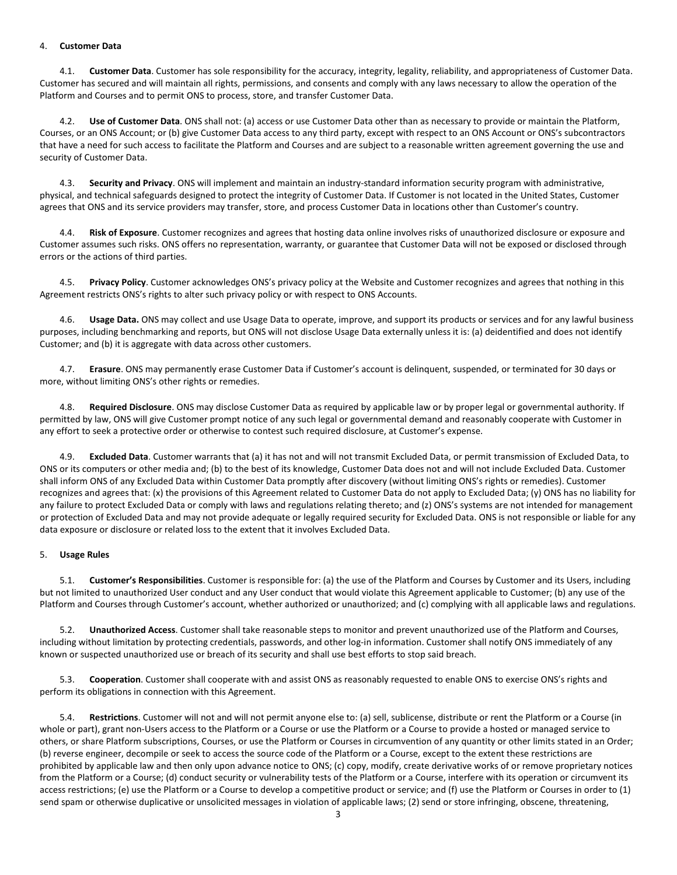### 4. **Customer Data**

4.1. **Customer Data**. Customer has sole responsibility for the accuracy, integrity, legality, reliability, and appropriateness of Customer Data. Customer has secured and will maintain all rights, permissions, and consents and comply with any laws necessary to allow the operation of the Platform and Courses and to permit ONS to process, store, and transfer Customer Data.

4.2. **Use of Customer Data**. ONS shall not: (a) access or use Customer Data other than as necessary to provide or maintain the Platform, Courses, or an ONS Account; or (b) give Customer Data access to any third party, except with respect to an ONS Account or ONS's subcontractors that have a need for such access to facilitate the Platform and Courses and are subject to a reasonable written agreement governing the use and security of Customer Data.

<span id="page-2-1"></span>4.3. **Security and Privacy**. ONS will implement and maintain an industry-standard information security program with administrative, physical, and technical safeguards designed to protect the integrity of Customer Data. If Customer is not located in the United States, Customer agrees that ONS and its service providers may transfer, store, and process Customer Data in locations other than Customer's country.

<span id="page-2-2"></span>Risk of Exposure. Customer recognizes and agrees that hosting data online involves risks of unauthorized disclosure or exposure and Customer assumes such risks. ONS offers no representation, warranty, or guarantee that Customer Data will not be exposed or disclosed through errors or the actions of third parties.

4.5. **Privacy Policy**. Customer acknowledges ONS's privacy policy at the Website and Customer recognizes and agrees that nothing in this Agreement restricts ONS's rights to alter such privacy policy or with respect to ONS Accounts.

4.6. **Usage Data.** ONS may collect and use Usage Data to operate, improve, and support its products or services and for any lawful business purposes, including benchmarking and reports, but ONS will not disclose Usage Data externally unless it is: (a) deidentified and does not identify Customer; and (b) it is aggregate with data across other customers.

4.7. **Erasure**. ONS may permanently erase Customer Data if Customer's account is delinquent, suspended, or terminated for 30 days or more, without limiting ONS's other rights or remedies.

4.8. **Required Disclosure**. ONS may disclose Customer Data as required by applicable law or by proper legal or governmental authority. If permitted by law, ONS will give Customer prompt notice of any such legal or governmental demand and reasonably cooperate with Customer in any effort to seek a protective order or otherwise to contest such required disclosure, at Customer's expense.

4.9. **Excluded Data**. Customer warrants that (a) it has not and will not transmit Excluded Data, or permit transmission of Excluded Data, to ONS or its computers or other media and; (b) to the best of its knowledge, Customer Data does not and will not include Excluded Data. Customer shall inform ONS of any Excluded Data within Customer Data promptly after discovery (without limiting ONS's rights or remedies). Customer recognizes and agrees that: (x) the provisions of this Agreement related to Customer Data do not apply to Excluded Data; (y) ONS has no liability for any failure to protect Excluded Data or comply with laws and regulations relating thereto; and (z) ONS's systems are not intended for management or protection of Excluded Data and may not provide adequate or legally required security for Excluded Data. ONS is not responsible or liable for any data exposure or disclosure or related loss to the extent that it involves Excluded Data.

# <span id="page-2-0"></span>5. **Usage Rules**

5.1. **Customer's Responsibilities**. Customer is responsible for: (a) the use of the Platform and Courses by Customer and its Users, including but not limited to unauthorized User conduct and any User conduct that would violate this Agreement applicable to Customer; (b) any use of the Platform and Courses through Customer's account, whether authorized or unauthorized; and (c) complying with all applicable laws and regulations.

5.2. **Unauthorized Access**. Customer shall take reasonable steps to monitor and prevent unauthorized use of the Platform and Courses, including without limitation by protecting credentials, passwords, and other log-in information. Customer shall notify ONS immediately of any known or suspected unauthorized use or breach of its security and shall use best efforts to stop said breach.

5.3. **Cooperation**. Customer shall cooperate with and assist ONS as reasonably requested to enable ONS to exercise ONS's rights and perform its obligations in connection with this Agreement.

Restrictions. Customer will not and will not permit anyone else to: (a) sell, sublicense, distribute or rent the Platform or a Course (in whole or part), grant non-Users access to the Platform or a Course or use the Platform or a Course to provide a hosted or managed service to others, or share Platform subscriptions, Courses, or use the Platform or Courses in circumvention of any quantity or other limits stated in an Order; (b) reverse engineer, decompile or seek to access the source code of the Platform or a Course, except to the extent these restrictions are prohibited by applicable law and then only upon advance notice to ONS; (c) copy, modify, create derivative works of or remove proprietary notices from the Platform or a Course; (d) conduct security or vulnerability tests of the Platform or a Course, interfere with its operation or circumvent its access restrictions; (e) use the Platform or a Course to develop a competitive product or service; and (f) use the Platform or Courses in order to (1) send spam or otherwise duplicative or unsolicited messages in violation of applicable laws; (2) send or store infringing, obscene, threatening,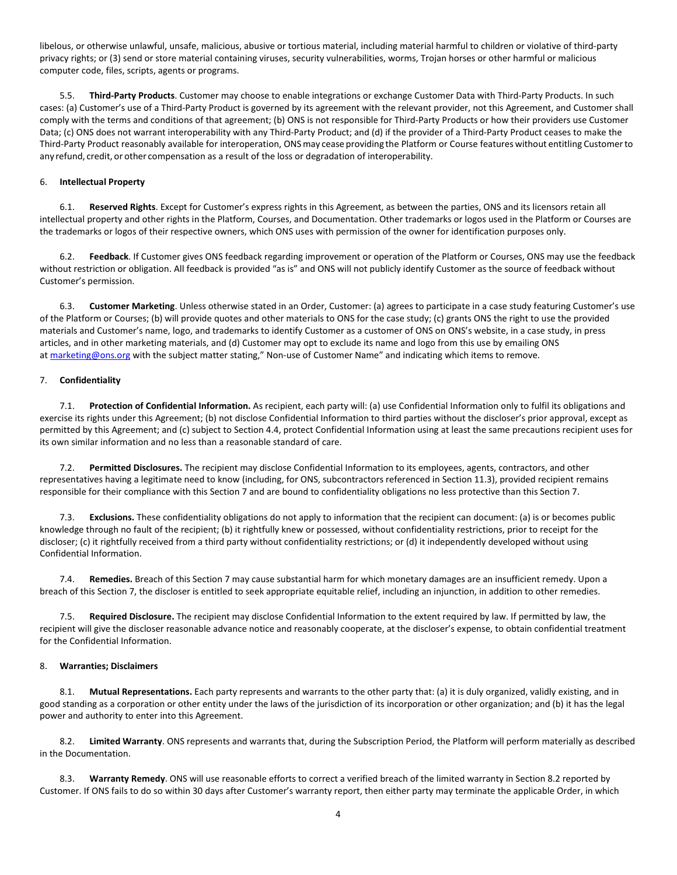libelous, or otherwise unlawful, unsafe, malicious, abusive or tortious material, including material harmful to children or violative of third-party privacy rights; or (3) send or store material containing viruses, security vulnerabilities, worms, Trojan horses or other harmful or malicious computer code, files, scripts, agents or programs.

5.5. **Third-Party Products**. Customer may choose to enable integrations or exchange Customer Data with Third-Party Products. In such cases: (a) Customer's use of a Third-Party Product is governed by its agreement with the relevant provider, not this Agreement, and Customer shall comply with the terms and conditions of that agreement; (b) ONS is not responsible for Third-Party Products or how their providers use Customer Data; (c) ONS does not warrant interoperability with any Third-Party Product; and (d) if the provider of a Third-Party Product ceases to make the Third-Party Product reasonably available for interoperation, ONSmay cease providing the Platform or Course featureswithout entitling Customerto any refund, credit, or other compensation as a result of the loss or degradation of interoperability.

## <span id="page-3-0"></span>6. **Intellectual Property**

6.1. **Reserved Rights**. Except for Customer's express rights in this Agreement, as between the parties, ONS and its licensors retain all intellectual property and other rights in the Platform, Courses, and Documentation. Other trademarks or logos used in the Platform or Courses are the trademarks or logos of their respective owners, which ONS uses with permission of the owner for identification purposes only.

6.2. **Feedback**. If Customer gives ONS feedback regarding improvement or operation of the Platform or Courses, ONS may use the feedback without restriction or obligation. All feedback is provided "as is" and ONS will not publicly identify Customer as the source of feedback without Customer's permission.

6.3. **Customer Marketing**. Unless otherwise stated in an Order, Customer: (a) agrees to participate in a case study featuring Customer's use of the Platform or Courses; (b) will provide quotes and other materials to ONS for the case study; (c) grants ONS the right to use the provided materials and Customer's name, logo, and trademarks to identify Customer as a customer of ONS on ONS's website, in a case study, in press articles, and in other marketing materials, and (d) Customer may opt to exclude its name and logo from this use by emailing ONS at [marketing@ons.org](mailto:marketing@ons.org) with the subject matter stating," Non-use of Customer Name" and indicating which items to remove.

## <span id="page-3-1"></span>7. **Confidentiality**

7.1. **Protection of Confidential Information.** As recipient, each party will: (a) use Confidential Information only to fulfil its obligations and exercise its rights under this Agreement; (b) not disclose Confidential Information to third parties without the discloser's prior approval, except as permitted by this Agreement; and (c) subject to Section [4.4,](#page-2-2) protect Confidential Information using at least the same precautions recipient uses for its own similar information and no less than a reasonable standard of care.

7.2. **Permitted Disclosures.** The recipient may disclose Confidential Information to its employees, agents, contractors, and other representatives having a legitimate need to know (including, for ONS, subcontractors referenced in Sectio[n 11.3\)](#page-5-1), provided recipient remains responsible for their compliance with this Section [7](#page-3-1) and are bound to confidentiality obligations no less protective than this Sectio[n 7.](#page-3-1)

7.3. **Exclusions.** These confidentiality obligations do not apply to information that the recipient can document: (a) is or becomes public knowledge through no fault of the recipient; (b) it rightfully knew or possessed, without confidentiality restrictions, prior to receipt for the discloser; (c) it rightfully received from a third party without confidentiality restrictions; or (d) it independently developed without using Confidential Information.

7.4. **Remedies.** Breach of this Sectio[n 7](#page-3-1) may cause substantial harm for which monetary damages are an insufficient remedy. Upon a breach of this Section [7,](#page-3-1) the discloser is entitled to seek appropriate equitable relief, including an injunction, in addition to other remedies.

7.5. **Required Disclosure.** The recipient may disclose Confidential Information to the extent required by law. If permitted by law, the recipient will give the discloser reasonable advance notice and reasonably cooperate, at the discloser's expense, to obtain confidential treatment for the Confidential Information.

### <span id="page-3-2"></span>8. **Warranties; Disclaimers**

8.1. **Mutual Representations.** Each party represents and warrants to the other party that: (a) it is duly organized, validly existing, and in good standing as a corporation or other entity under the laws of the jurisdiction of its incorporation or other organization; and (b) it has the legal power and authority to enter into this Agreement.

<span id="page-3-3"></span>8.2. **Limited Warranty**. ONS represents and warrants that, during the Subscription Period, the Platform will perform materially as described in the Documentation.

8.3. **Warranty Remedy**. ONS will use reasonable efforts to correct a verified breach of the limited warranty in Sectio[n 8.2](#page-3-3) reported by Customer. If ONS fails to do so within 30 days after Customer's warranty report, then either party may terminate the applicable Order, in which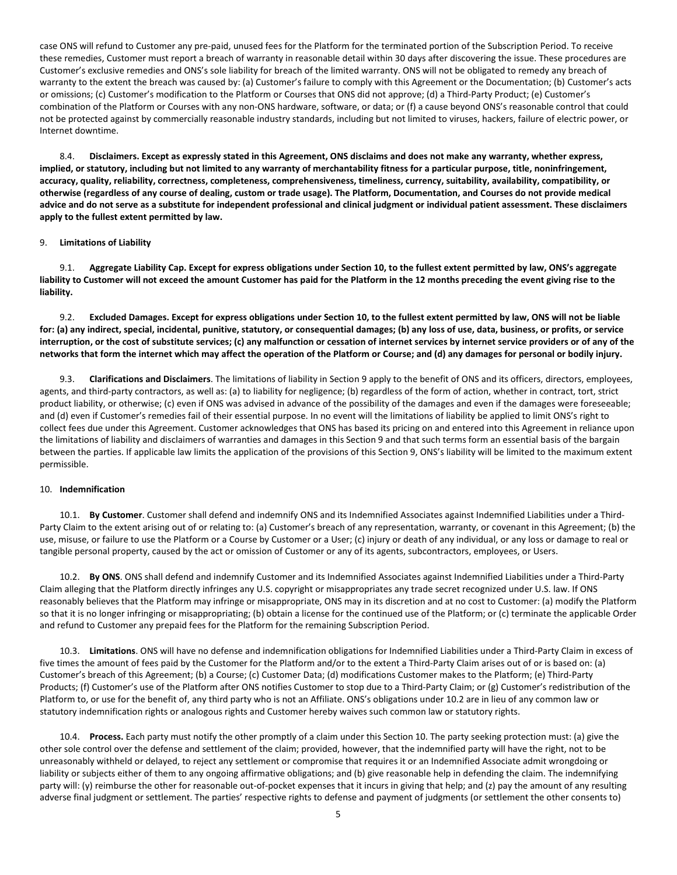case ONS will refund to Customer any pre-paid, unused fees for the Platform for the terminated portion of the Subscription Period. To receive these remedies, Customer must report a breach of warranty in reasonable detail within 30 days after discovering the issue. These procedures are Customer's exclusive remedies and ONS's sole liability for breach of the limited warranty. ONS will not be obligated to remedy any breach of warranty to the extent the breach was caused by: (a) Customer's failure to comply with this Agreement or the Documentation; (b) Customer's acts or omissions; (c) Customer's modification to the Platform or Courses that ONS did not approve; (d) a Third-Party Product; (e) Customer's combination of the Platform or Courses with any non-ONS hardware, software, or data; or (f) a cause beyond ONS's reasonable control that could not be protected against by commercially reasonable industry standards, including but not limited to viruses, hackers, failure of electric power, or Internet downtime.

8.4. **Disclaimers. Except as expressly stated in this Agreement, ONS disclaims and does not make any warranty, whether express, implied, or statutory, including but not limited to any warranty of merchantability fitness for a particular purpose, title, noninfringement, accuracy, quality, reliability, correctness, completeness, comprehensiveness, timeliness, currency, suitability, availability, compatibility, or otherwise (regardless of any course of dealing, custom or trade usage). The Platform, Documentation, and Courses do not provide medical advice and do not serve as a substitute for independent professional and clinical judgment or individual patient assessment. These disclaimers apply to the fullest extent permitted by law.** 

## <span id="page-4-0"></span>9. **Limitations of Liability**

9.1. **Aggregate Liability Cap. Except for express obligations under Sectio[n 10,](#page-4-1) to the fullest extent permitted by law, ONS's aggregate liability to Customer will not exceed the amount Customer has paid for the Platform in the 12 months preceding the event giving rise to the liability.**

9.2. **Excluded Damages. Except for express obligations under Sectio[n 10,](#page-4-1) to the fullest extent permitted by law, ONS will not be liable for: (a) any indirect, special, incidental, punitive, statutory, or consequential damages; (b) any loss of use, data, business, or profits, or service interruption, or the cost of substitute services; (c) any malfunction or cessation of internet services by internet service providers or of any of the networks that form the internet which may affect the operation of the Platform or Course; and (d) any damages for personal or bodily injury.**

9.3. **Clarifications and Disclaimers**. The limitations of liability in Sectio[n 9](#page-4-0) apply to the benefit of ONS and its officers, directors, employees, agents, and third-party contractors, as well as: (a) to liability for negligence; (b) regardless of the form of action, whether in contract, tort, strict product liability, or otherwise; (c) even if ONS was advised in advance of the possibility of the damages and even if the damages were foreseeable; and (d) even if Customer's remedies fail of their essential purpose. In no event will the limitations of liability be applied to limit ONS's right to collect fees due under this Agreement. Customer acknowledges that ONS has based its pricing on and entered into this Agreement in reliance upon the limitations of liability and disclaimers of warranties and damages in this Sectio[n 9](#page-4-0) and that such terms form an essential basis of the bargain between the parties. If applicable law limits the application of the provisions of this Sectio[n 9,](#page-4-0) ONS's liability will be limited to the maximum extent permissible.

#### <span id="page-4-1"></span>10. **Indemnification**

10.1. **By Customer**. Customer shall defend and indemnify ONS and its Indemnified Associates against Indemnified Liabilities under a Third-Party Claim to the extent arising out of or relating to: (a) Customer's breach of any representation, warranty, or covenant in this Agreement; (b) the use, misuse, or failure to use the Platform or a Course by Customer or a User; (c) injury or death of any individual, or any loss or damage to real or tangible personal property, caused by the act or omission of Customer or any of its agents, subcontractors, employees, or Users.

<span id="page-4-2"></span>10.2. **By ONS**. ONS shall defend and indemnify Customer and its Indemnified Associates against Indemnified Liabilities under a Third-Party Claim alleging that the Platform directly infringes any U.S. copyright or misappropriates any trade secret recognized under U.S. law. If ONS reasonably believes that the Platform may infringe or misappropriate, ONS may in its discretion and at no cost to Customer: (a) modify the Platform so that it is no longer infringing or misappropriating; (b) obtain a license for the continued use of the Platform; or (c) terminate the applicable Order and refund to Customer any prepaid fees for the Platform for the remaining Subscription Period.

10.3. **Limitations**. ONS will have no defense and indemnification obligations for Indemnified Liabilities under a Third-Party Claim in excess of five times the amount of fees paid by the Customer for the Platform and/or to the extent a Third-Party Claim arises out of or is based on: (a) Customer's breach of this Agreement; (b) a Course; (c) Customer Data; (d) modifications Customer makes to the Platform; (e) Third-Party Products; (f) Customer's use of the Platform after ONS notifies Customer to stop due to a Third-Party Claim; or (g) Customer's redistribution of the Platform to, or use for the benefit of, any third party who is not an Affiliate. ONS's obligations unde[r 10.2](#page-4-2) are in lieu of any common law or statutory indemnification rights or analogous rights and Customer hereby waives such common law or statutory rights.

10.4. **Process.** Each party must notify the other promptly of a claim under this Section [10.](#page-4-1) The party seeking protection must: (a) give the other sole control over the defense and settlement of the claim; provided, however, that the indemnified party will have the right, not to be unreasonably withheld or delayed, to reject any settlement or compromise that requires it or an Indemnified Associate admit wrongdoing or liability or subjects either of them to any ongoing affirmative obligations; and (b) give reasonable help in defending the claim. The indemnifying party will: (y) reimburse the other for reasonable out-of-pocket expenses that it incurs in giving that help; and (z) pay the amount of any resulting adverse final judgment or settlement. The parties' respective rights to defense and payment of judgments (or settlement the other consents to)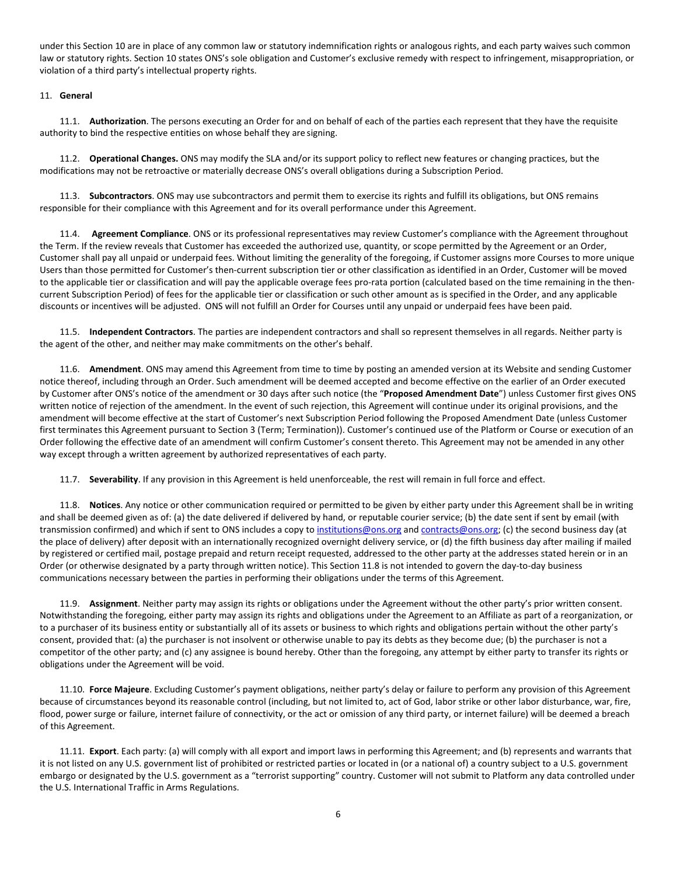under this Sectio[n 10](#page-4-1) are in place of any common law or statutory indemnification rights or analogous rights, and each party waives such common law or statutory rights. Section [10](#page-4-1) states ONS's sole obligation and Customer's exclusive remedy with respect to infringement, misappropriation, or violation of a third party's intellectual property rights.

## <span id="page-5-0"></span>11. **General**

11.1. **Authorization**. The persons executing an Order for and on behalf of each of the parties each represent that they have the requisite authority to bind the respective entities on whose behalf they are signing.

11.2. **Operational Changes.** ONS may modify the SLA and/or its support policy to reflect new features or changing practices, but the modifications may not be retroactive or materially decrease ONS's overall obligations during a Subscription Period.

<span id="page-5-1"></span>11.3. **Subcontractors**. ONS may use subcontractors and permit them to exercise its rights and fulfill its obligations, but ONS remains responsible for their compliance with this Agreement and for its overall performance under this Agreement.

11.4. **Agreement Compliance**. ONS or its professional representatives may review Customer's compliance with the Agreement throughout the Term. If the review reveals that Customer has exceeded the authorized use, quantity, or scope permitted by the Agreement or an Order, Customer shall pay all unpaid or underpaid fees. Without limiting the generality of the foregoing, if Customer assigns more Courses to more unique Users than those permitted for Customer's then-current subscription tier or other classification as identified in an Order, Customer will be moved to the applicable tier or classification and will pay the applicable overage fees pro-rata portion (calculated based on the time remaining in the thencurrent Subscription Period) of fees for the applicable tier or classification or such other amount as is specified in the Order, and any applicable discounts or incentives will be adjusted. ONS will not fulfill an Order for Courses until any unpaid or underpaid fees have been paid.

11.5. **Independent Contractors**. The parties are independent contractors and shall so represent themselves in all regards. Neither party is the agent of the other, and neither may make commitments on the other's behalf.

11.6. **Amendment**. ONS may amend this Agreement from time to time by posting an amended version at its Website and sending Customer notice thereof, including through an Order. Such amendment will be deemed accepted and become effective on the earlier of an Order executed by Customer after ONS's notice of the amendment or 30 days after such notice (the "**Proposed Amendment Date**") unless Customer first gives ONS written notice of rejection of the amendment. In the event of such rejection, this Agreement will continue under its original provisions, and the amendment will become effective at the start of Customer's next Subscription Period following the Proposed Amendment Date (unless Customer first terminates this Agreement pursuant to Sectio[n 3](#page-1-1) (Term; Termination)). Customer's continued use of the Platform or Course or execution of an Order following the effective date of an amendment will confirm Customer's consent thereto. This Agreement may not be amended in any other way except through a written agreement by authorized representatives of each party.

11.7. **Severability**. If any provision in this Agreement is held unenforceable, the rest will remain in full force and effect.

<span id="page-5-2"></span>11.8. **Notices**. Any notice or other communication required or permitted to be given by either party under this Agreement shall be in writing and shall be deemed given as of: (a) the date delivered if delivered by hand, or reputable courier service; (b) the date sent if sent by email (with transmission confirmed) and which if sent to ONS includes a copy t[o institutions@ons.org](mailto:institutions@ons.org) an[d contracts@ons.org;](mailto:contracts@ons.org) (c) the second business day (at the place of delivery) after deposit with an internationally recognized overnight delivery service, or (d) the fifth business day after mailing if mailed by registered or certified mail, postage prepaid and return receipt requested, addressed to the other party at the addresses stated herein or in an Order (or otherwise designated by a party through written notice). This Sectio[n 11.8](#page-5-2) is not intended to govern the day-to-day business communications necessary between the parties in performing their obligations under the terms of this Agreement.

11.9. **Assignment**. Neither party may assign its rights or obligations under the Agreement without the other party's prior written consent. Notwithstanding the foregoing, either party may assign its rights and obligations under the Agreement to an Affiliate as part of a reorganization, or to a purchaser of its business entity or substantially all of its assets or business to which rights and obligations pertain without the other party's consent, provided that: (a) the purchaser is not insolvent or otherwise unable to pay its debts as they become due; (b) the purchaser is not a competitor of the other party; and (c) any assignee is bound hereby. Other than the foregoing, any attempt by either party to transfer its rights or obligations under the Agreement will be void.

11.10. **Force Majeure**. Excluding Customer's payment obligations, neither party's delay or failure to perform any provision of this Agreement because of circumstances beyond its reasonable control (including, but not limited to, act of God, labor strike or other labor disturbance, war, fire, flood, power surge or failure, internet failure of connectivity, or the act or omission of any third party, or internet failure) will be deemed a breach of this Agreement.

11.11. **Export**. Each party: (a) will comply with all export and import laws in performing this Agreement; and (b) represents and warrants that it is not listed on any U.S. government list of prohibited or restricted parties or located in (or a national of) a country subject to a U.S. government embargo or designated by the U.S. government as a "terrorist supporting" country. Customer will not submit to Platform any data controlled under the U.S. International Traffic in Arms Regulations.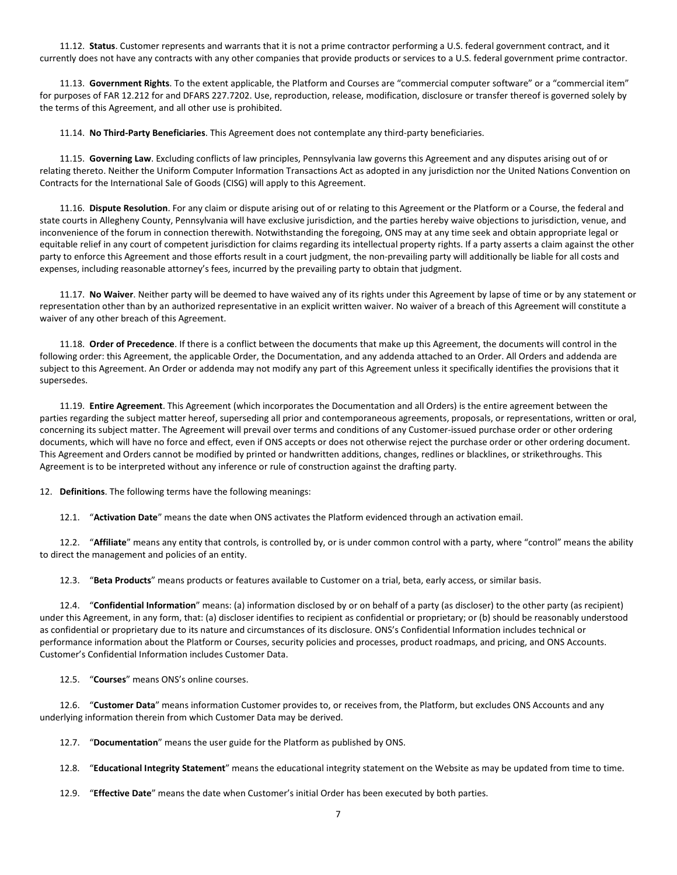11.12. **Status**. Customer represents and warrants that it is not a prime contractor performing a U.S. federal government contract, and it currently does not have any contracts with any other companies that provide products or services to a U.S. federal government prime contractor.

11.13. **Government Rights**. To the extent applicable, the Platform and Courses are "commercial computer software" or a "commercial item" for purposes of FAR 12.212 for and DFARS 227.7202. Use, reproduction, release, modification, disclosure or transfer thereof is governed solely by the terms of this Agreement, and all other use is prohibited.

11.14. **No Third-Party Beneficiaries**. This Agreement does not contemplate any third-party beneficiaries.

11.15. **Governing Law**. Excluding conflicts of law principles, Pennsylvania law governs this Agreement and any disputes arising out of or relating thereto. Neither the Uniform Computer Information Transactions Act as adopted in any jurisdiction nor the United Nations Convention on Contracts for the International Sale of Goods (CISG) will apply to this Agreement.

11.16. **Dispute Resolution**. For any claim or dispute arising out of or relating to this Agreement or the Platform or a Course, the federal and state courts in Allegheny County, Pennsylvania will have exclusive jurisdiction, and the parties hereby waive objections to jurisdiction, venue, and inconvenience of the forum in connection therewith. Notwithstanding the foregoing, ONS may at any time seek and obtain appropriate legal or equitable relief in any court of competent jurisdiction for claims regarding its intellectual property rights. If a party asserts a claim against the other party to enforce this Agreement and those efforts result in a court judgment, the non-prevailing party will additionally be liable for all costs and expenses, including reasonable attorney's fees, incurred by the prevailing party to obtain that judgment.

11.17. **No Waiver**. Neither party will be deemed to have waived any of its rights under this Agreement by lapse of time or by any statement or representation other than by an authorized representative in an explicit written waiver. No waiver of a breach of this Agreement will constitute a waiver of any other breach of this Agreement.

11.18. **Order of Precedence**. If there is a conflict between the documents that make up this Agreement, the documents will control in the following order: this Agreement, the applicable Order, the Documentation, and any addenda attached to an Order. All Orders and addenda are subject to this Agreement. An Order or addenda may not modify any part of this Agreement unless it specifically identifies the provisions that it supersedes.

11.19. **Entire Agreement**. This Agreement (which incorporates the Documentation and all Orders) is the entire agreement between the parties regarding the subject matter hereof, superseding all prior and contemporaneous agreements, proposals, or representations, written or oral, concerning its subject matter. The Agreement will prevail over terms and conditions of any Customer-issued purchase order or other ordering documents, which will have no force and effect, even if ONS accepts or does not otherwise reject the purchase order or other ordering document. This Agreement and Orders cannot be modified by printed or handwritten additions, changes, redlines or blacklines, or strikethroughs. This Agreement is to be interpreted without any inference or rule of construction against the drafting party.

<span id="page-6-0"></span>12. **Definitions**. The following terms have the following meanings:

12.1. "**Activation Date**" means the date when ONS activates the Platform evidenced through an activation email.

12.2. "**Affiliate**" means any entity that controls, is controlled by, or is under common control with a party, where "control" means the ability to direct the management and policies of an entity.

12.3. "**Beta Products**" means products or features available to Customer on a trial, beta, early access, or similar basis.

12.4. "**Confidential Information**" means: (a) information disclosed by or on behalf of a party (as discloser) to the other party (as recipient) under this Agreement, in any form, that: (a) discloser identifies to recipient as confidential or proprietary; or (b) should be reasonably understood as confidential or proprietary due to its nature and circumstances of its disclosure. ONS's Confidential Information includes technical or performance information about the Platform or Courses, security policies and processes, product roadmaps, and pricing, and ONS Accounts. Customer's Confidential Information includes Customer Data.

12.5. "**Courses**" means ONS's online courses.

12.6. "**Customer Data**" means information Customer provides to, or receives from, the Platform, but excludes ONS Accounts and any underlying information therein from which Customer Data may be derived.

12.7. "**Documentation**" means the user guide for the Platform as published by ONS.

12.8. "**Educational Integrity Statement**" means the educational integrity statement on the Website as may be updated from time to time.

12.9. "**Effective Date**" means the date when Customer's initial Order has been executed by both parties.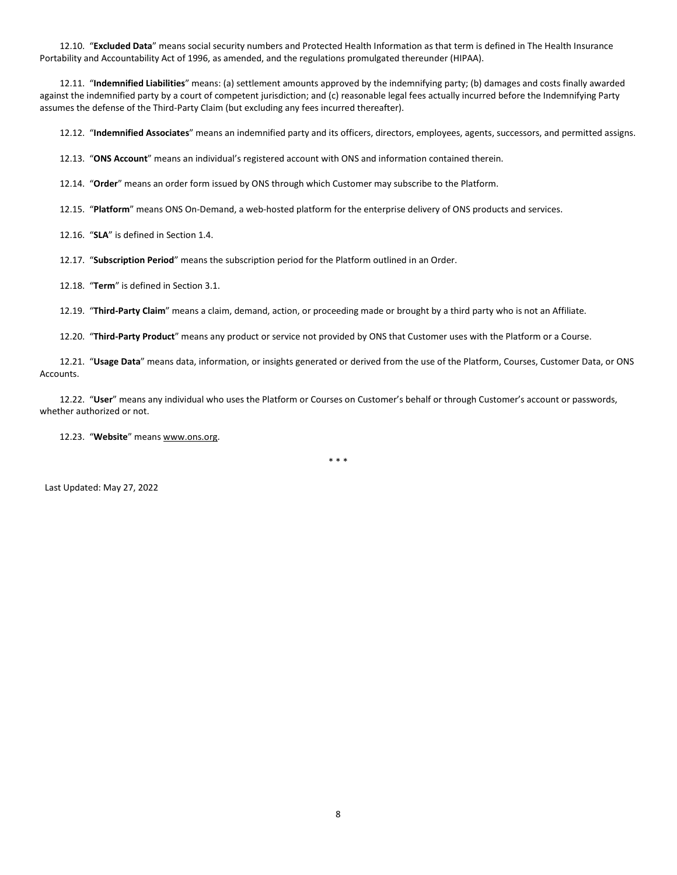12.10. "**Excluded Data**" means social security numbers and Protected Health Information as that term is defined in The Health Insurance Portability and Accountability Act of 1996, as amended, and the regulations promulgated thereunder (HIPAA).

12.11. "**Indemnified Liabilities**" means: (a) settlement amounts approved by the indemnifying party; (b) damages and costs finally awarded against the indemnified party by a court of competent jurisdiction; and (c) reasonable legal fees actually incurred before the Indemnifying Party assumes the defense of the Third-Party Claim (but excluding any fees incurred thereafter).

12.12. "**Indemnified Associates**" means an indemnified party and its officers, directors, employees, agents, successors, and permitted assigns.

12.13. "**ONS Account**" means an individual's registered account with ONS and information contained therein.

12.14. "**Order**" means an order form issued by ONS through which Customer may subscribe to the Platform.

12.15. "**Platform**" means ONS On-Demand, a web-hosted platform for the enterprise delivery of ONS products and services.

12.16. "**SLA**" is defined in Section 1.4.

12.17. "**Subscription Period**" means the subscription period for the Platform outlined in an Order.

12.18. "**Term**" is defined in Section 3.1.

12.19. "**Third-Party Claim**" means a claim, demand, action, or proceeding made or brought by a third party who is not an Affiliate.

12.20. "**Third-Party Product**" means any product or service not provided by ONS that Customer uses with the Platform or a Course.

12.21. "**Usage Data**" means data, information, or insights generated or derived from the use of the Platform, Courses, Customer Data, or ONS Accounts.

12.22. "**User**" means any individual who uses the Platform or Courses on Customer's behalf or through Customer's account or passwords, whether authorized or not.

12.23. "**Website**" means www.ons.org.

\* \* \*

Last Updated: May 27, 2022